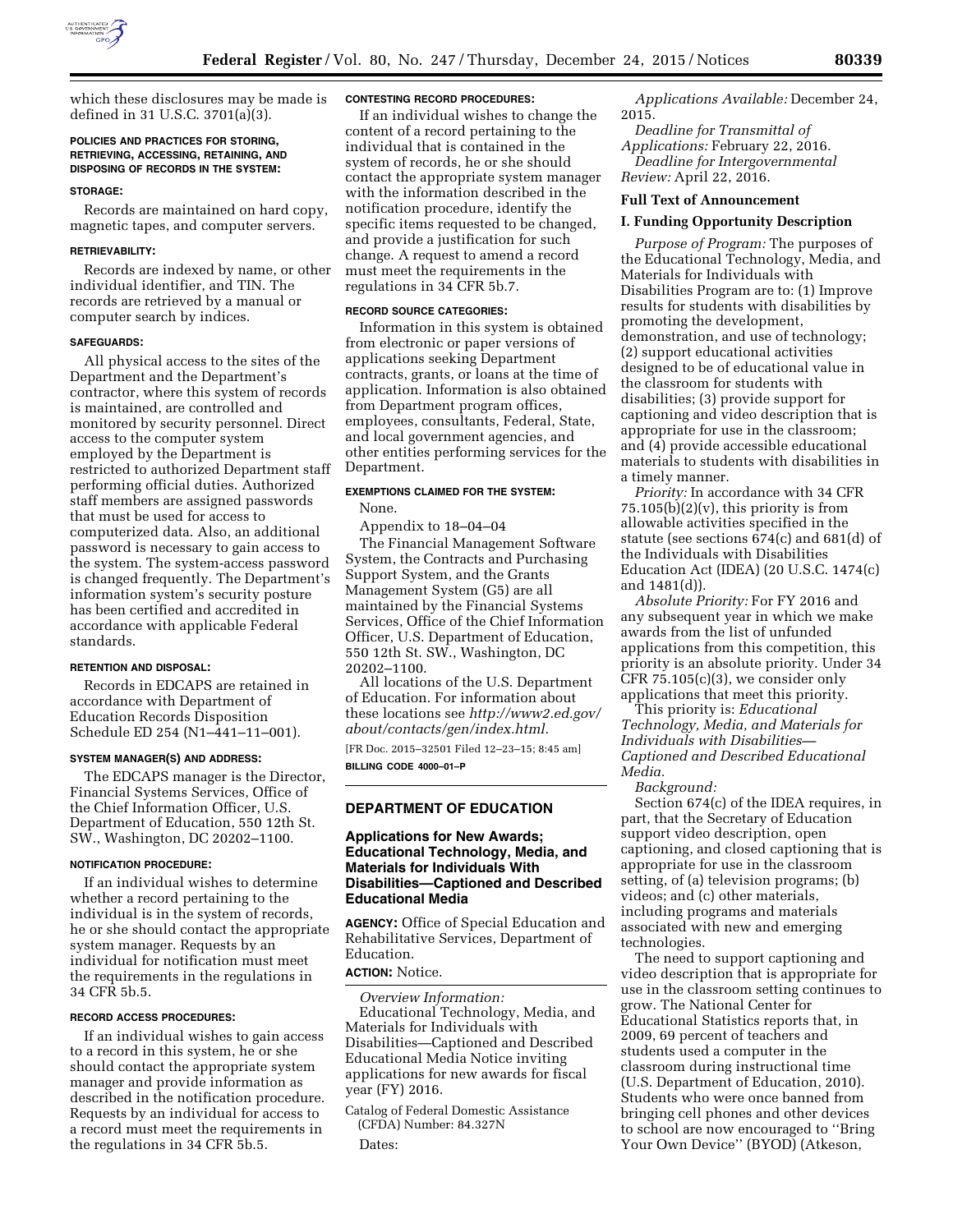

which these disclosures may be made is defined in 31 U.S.C. 3701(a)(3).

## **POLICIES AND PRACTICES FOR STORING, RETRIEVING, ACCESSING, RETAINING, AND DISPOSING OF RECORDS IN THE SYSTEM:**

### **STORAGE:**

Records are maintained on hard copy, magnetic tapes, and computer servers.

### **RETRIEVABILITY:**

Records are indexed by name, or other individual identifier, and TIN. The records are retrieved by a manual or computer search by indices.

### **SAFEGUARDS:**

All physical access to the sites of the Department and the Department's contractor, where this system of records is maintained, are controlled and monitored by security personnel. Direct access to the computer system employed by the Department is restricted to authorized Department staff performing official duties. Authorized staff members are assigned passwords that must be used for access to computerized data. Also, an additional password is necessary to gain access to the system. The system-access password is changed frequently. The Department's information system's security posture has been certified and accredited in accordance with applicable Federal standards.

# **RETENTION AND DISPOSAL:**

Records in EDCAPS are retained in accordance with Department of Education Records Disposition Schedule ED 254 (N1–441–11–001).

#### **SYSTEM MANAGER(S) AND ADDRESS:**

The EDCAPS manager is the Director, Financial Systems Services, Office of the Chief Information Officer, U.S. Department of Education, 550 12th St. SW., Washington, DC 20202–1100.

### **NOTIFICATION PROCEDURE:**

If an individual wishes to determine whether a record pertaining to the individual is in the system of records, he or she should contact the appropriate system manager. Requests by an individual for notification must meet the requirements in the regulations in 34 CFR 5b.5.

### **RECORD ACCESS PROCEDURES:**

If an individual wishes to gain access to a record in this system, he or she should contact the appropriate system manager and provide information as described in the notification procedure. Requests by an individual for access to a record must meet the requirements in the regulations in 34 CFR 5b.5.

#### **CONTESTING RECORD PROCEDURES:**

If an individual wishes to change the content of a record pertaining to the individual that is contained in the system of records, he or she should contact the appropriate system manager with the information described in the notification procedure, identify the specific items requested to be changed, and provide a justification for such change. A request to amend a record must meet the requirements in the regulations in 34 CFR 5b.7.

#### **RECORD SOURCE CATEGORIES:**

Information in this system is obtained from electronic or paper versions of applications seeking Department contracts, grants, or loans at the time of application. Information is also obtained from Department program offices, employees, consultants, Federal, State, and local government agencies, and other entities performing services for the Department.

### **EXEMPTIONS CLAIMED FOR THE SYSTEM:**

None.

Appendix to 18–04–04

The Financial Management Software System, the Contracts and Purchasing Support System, and the Grants Management System (G5) are all maintained by the Financial Systems Services, Office of the Chief Information Officer, U.S. Department of Education, 550 12th St. SW., Washington, DC 20202–1100.

All locations of the U.S. Department of Education. For information about these locations see *[http://www2.ed.gov/](http://www2.ed.gov/about/contacts/gen/index.html) [about/contacts/gen/index.html.](http://www2.ed.gov/about/contacts/gen/index.html)* 

[FR Doc. 2015–32501 Filed 12–23–15; 8:45 am] **BILLING CODE 4000–01–P** 

**DEPARTMENT OF EDUCATION** 

## **Applications for New Awards; Educational Technology, Media, and Materials for Individuals With Disabilities—Captioned and Described Educational Media**

**AGENCY:** Office of Special Education and Rehabilitative Services, Department of Education.

**ACTION:** Notice.

*Overview Information:*  Educational Technology, Media, and Materials for Individuals with Disabilities—Captioned and Described Educational Media Notice inviting applications for new awards for fiscal year (FY) 2016.

Catalog of Federal Domestic Assistance (CFDA) Number: 84.327N Dates:

*Applications Available:* December 24, 2015.

*Deadline for Transmittal of Applications:* February 22, 2016. *Deadline for Intergovernmental Review:* April 22, 2016.

### **Full Text of Announcement**

### **I. Funding Opportunity Description**

*Purpose of Program:* The purposes of the Educational Technology, Media, and Materials for Individuals with Disabilities Program are to: (1) Improve results for students with disabilities by promoting the development, demonstration, and use of technology; (2) support educational activities designed to be of educational value in the classroom for students with disabilities; (3) provide support for captioning and video description that is appropriate for use in the classroom; and (4) provide accessible educational materials to students with disabilities in a timely manner.

*Priority:* In accordance with 34 CFR  $75.105(b)(2)(v)$ , this priority is from allowable activities specified in the statute (see sections 674(c) and 681(d) of the Individuals with Disabilities Education Act (IDEA) (20 U.S.C. 1474(c) and 1481(d)).

*Absolute Priority:* For FY 2016 and any subsequent year in which we make awards from the list of unfunded applications from this competition, this priority is an absolute priority. Under 34 CFR 75.105(c)(3), we consider only applications that meet this priority.

This priority is: *Educational Technology, Media, and Materials for Individuals with Disabilities— Captioned and Described Educational Media.* 

*Background:* 

Section 674(c) of the IDEA requires, in part, that the Secretary of Education support video description, open captioning, and closed captioning that is appropriate for use in the classroom setting, of (a) television programs; (b) videos; and (c) other materials, including programs and materials associated with new and emerging technologies.

The need to support captioning and video description that is appropriate for use in the classroom setting continues to grow. The National Center for Educational Statistics reports that, in 2009, 69 percent of teachers and students used a computer in the classroom during instructional time (U.S. Department of Education, 2010). Students who were once banned from bringing cell phones and other devices to school are now encouraged to ''Bring Your Own Device'' (BYOD) (Atkeson,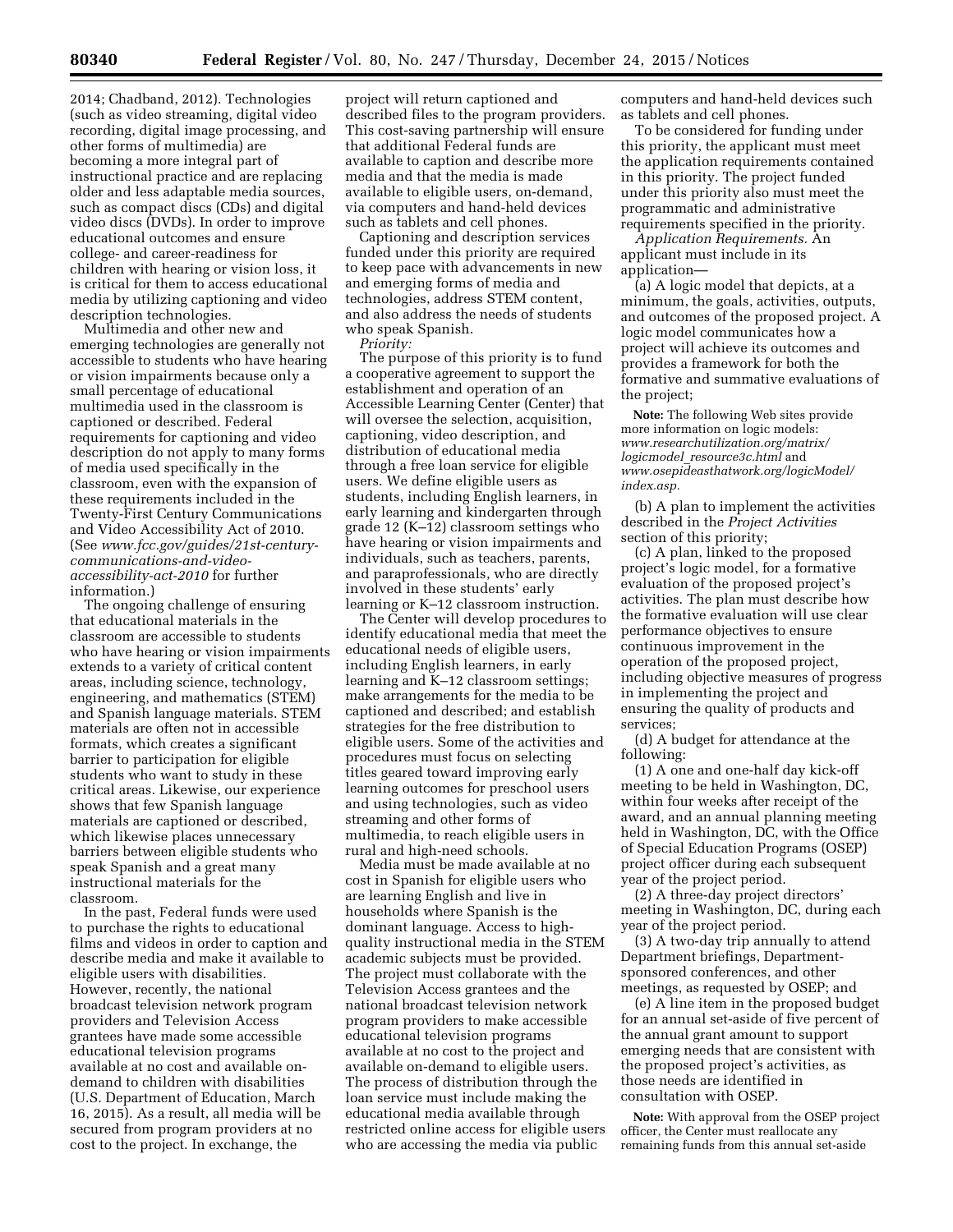2014; Chadband, 2012). Technologies (such as video streaming, digital video recording, digital image processing, and other forms of multimedia) are becoming a more integral part of instructional practice and are replacing older and less adaptable media sources, such as compact discs (CDs) and digital video discs (DVDs). In order to improve educational outcomes and ensure college- and career-readiness for children with hearing or vision loss, it is critical for them to access educational media by utilizing captioning and video

description technologies. Multimedia and other new and emerging technologies are generally not accessible to students who have hearing or vision impairments because only a small percentage of educational multimedia used in the classroom is captioned or described. Federal requirements for captioning and video description do not apply to many forms of media used specifically in the classroom, even with the expansion of these requirements included in the Twenty-First Century Communications and Video Accessibility Act of 2010. (See *[www.fcc.gov/guides/21st-century](http://www.fcc.gov/guides/21st-century-communications-and-video-accessibility-act-2010)[communications-and-video](http://www.fcc.gov/guides/21st-century-communications-and-video-accessibility-act-2010)[accessibility-act-2010](http://www.fcc.gov/guides/21st-century-communications-and-video-accessibility-act-2010)* for further information.)

The ongoing challenge of ensuring that educational materials in the classroom are accessible to students who have hearing or vision impairments extends to a variety of critical content areas, including science, technology, engineering, and mathematics (STEM) and Spanish language materials. STEM materials are often not in accessible formats, which creates a significant barrier to participation for eligible students who want to study in these critical areas. Likewise, our experience shows that few Spanish language materials are captioned or described, which likewise places unnecessary barriers between eligible students who speak Spanish and a great many instructional materials for the classroom.

In the past, Federal funds were used to purchase the rights to educational films and videos in order to caption and describe media and make it available to eligible users with disabilities. However, recently, the national broadcast television network program providers and Television Access grantees have made some accessible educational television programs available at no cost and available ondemand to children with disabilities (U.S. Department of Education, March 16, 2015). As a result, all media will be secured from program providers at no cost to the project. In exchange, the

project will return captioned and described files to the program providers. This cost-saving partnership will ensure that additional Federal funds are available to caption and describe more media and that the media is made available to eligible users, on-demand, via computers and hand-held devices such as tablets and cell phones.

Captioning and description services funded under this priority are required to keep pace with advancements in new and emerging forms of media and technologies, address STEM content, and also address the needs of students who speak Spanish.

*Priority:* 

The purpose of this priority is to fund a cooperative agreement to support the establishment and operation of an Accessible Learning Center (Center) that will oversee the selection, acquisition, captioning, video description, and distribution of educational media through a free loan service for eligible users. We define eligible users as students, including English learners, in early learning and kindergarten through grade 12 (K–12) classroom settings who have hearing or vision impairments and individuals, such as teachers, parents, and paraprofessionals, who are directly involved in these students' early learning or K–12 classroom instruction.

The Center will develop procedures to identify educational media that meet the educational needs of eligible users, including English learners, in early learning and K–12 classroom settings; make arrangements for the media to be captioned and described; and establish strategies for the free distribution to eligible users. Some of the activities and procedures must focus on selecting titles geared toward improving early learning outcomes for preschool users and using technologies, such as video streaming and other forms of multimedia, to reach eligible users in rural and high-need schools.

Media must be made available at no cost in Spanish for eligible users who are learning English and live in households where Spanish is the dominant language. Access to highquality instructional media in the STEM academic subjects must be provided. The project must collaborate with the Television Access grantees and the national broadcast television network program providers to make accessible educational television programs available at no cost to the project and available on-demand to eligible users. The process of distribution through the loan service must include making the educational media available through restricted online access for eligible users who are accessing the media via public

computers and hand-held devices such as tablets and cell phones.

To be considered for funding under this priority, the applicant must meet the application requirements contained in this priority. The project funded under this priority also must meet the programmatic and administrative requirements specified in the priority.

*Application Requirements.* An applicant must include in its application—

(a) A logic model that depicts, at a minimum, the goals, activities, outputs, and outcomes of the proposed project. A logic model communicates how a project will achieve its outcomes and provides a framework for both the formative and summative evaluations of the project;

**Note:** The following Web sites provide more information on logic models: *[www.researchutilization.org/matrix/](http://www.researchutilization.org/matrix/logicmodel_resource3c.html) logicmodel*\_*[resource3c.html](http://www.researchutilization.org/matrix/logicmodel_resource3c.html)* and *[www.osepideasthatwork.org/logicModel/](http://www.osepideasthatwork.org/logicModel/index.asp) [index.asp.](http://www.osepideasthatwork.org/logicModel/index.asp)* 

(b) A plan to implement the activities described in the *Project Activities*  section of this priority;

(c) A plan, linked to the proposed project's logic model, for a formative evaluation of the proposed project's activities. The plan must describe how the formative evaluation will use clear performance objectives to ensure continuous improvement in the operation of the proposed project, including objective measures of progress in implementing the project and ensuring the quality of products and services;

(d) A budget for attendance at the following:

(1) A one and one-half day kick-off meeting to be held in Washington, DC, within four weeks after receipt of the award, and an annual planning meeting held in Washington, DC, with the Office of Special Education Programs (OSEP) project officer during each subsequent year of the project period.

(2) A three-day project directors' meeting in Washington, DC, during each year of the project period.

(3) A two-day trip annually to attend Department briefings, Departmentsponsored conferences, and other meetings, as requested by OSEP; and

(e) A line item in the proposed budget for an annual set-aside of five percent of the annual grant amount to support emerging needs that are consistent with the proposed project's activities, as those needs are identified in consultation with OSEP.

**Note:** With approval from the OSEP project officer, the Center must reallocate any remaining funds from this annual set-aside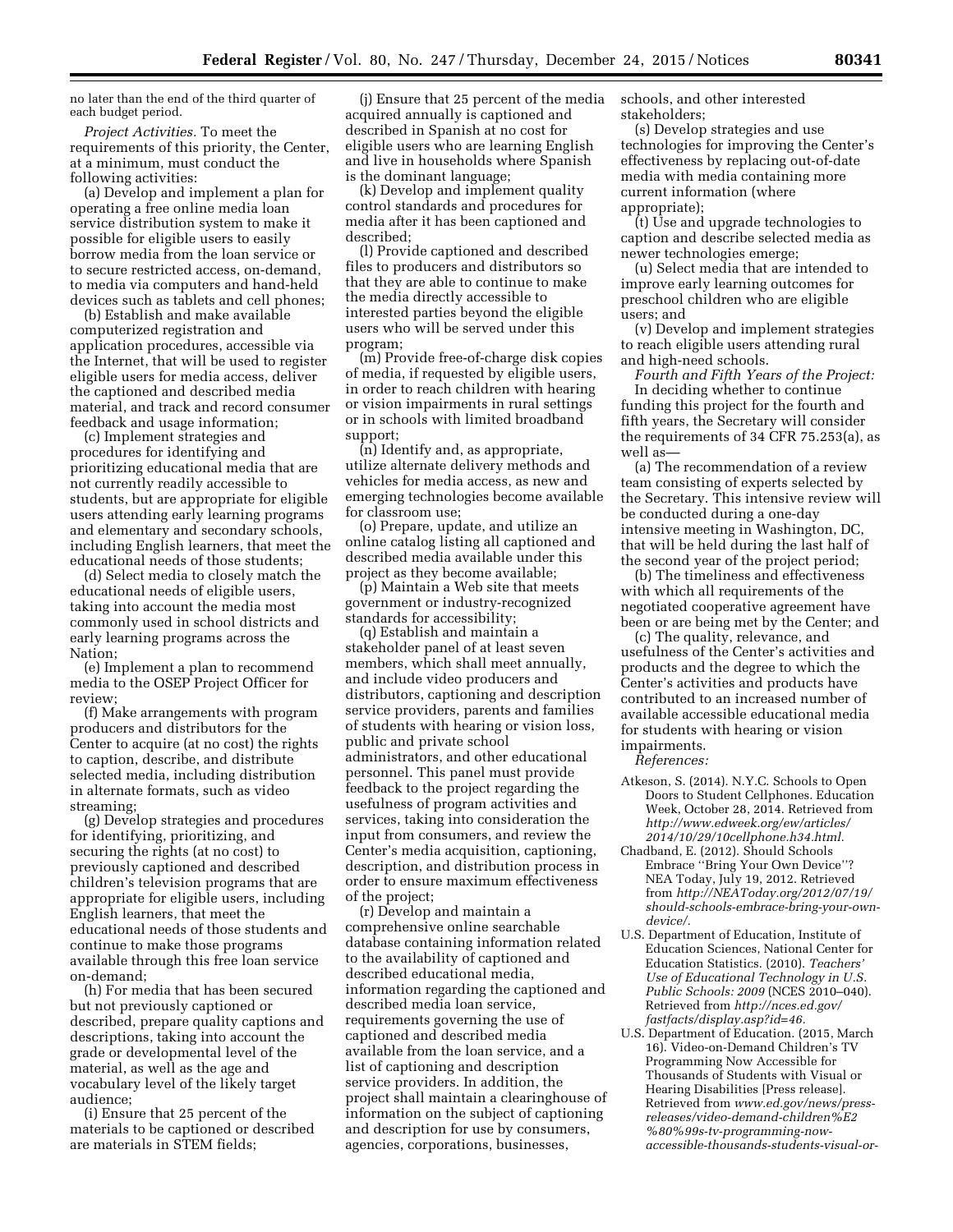no later than the end of the third quarter of each budget period.

*Project Activities.* To meet the requirements of this priority, the Center, at a minimum, must conduct the following activities:

(a) Develop and implement a plan for operating a free online media loan service distribution system to make it possible for eligible users to easily borrow media from the loan service or to secure restricted access, on-demand, to media via computers and hand-held devices such as tablets and cell phones;

(b) Establish and make available computerized registration and application procedures, accessible via the Internet, that will be used to register eligible users for media access, deliver the captioned and described media material, and track and record consumer feedback and usage information;

(c) Implement strategies and procedures for identifying and prioritizing educational media that are not currently readily accessible to students, but are appropriate for eligible users attending early learning programs and elementary and secondary schools, including English learners, that meet the educational needs of those students;

(d) Select media to closely match the educational needs of eligible users, taking into account the media most commonly used in school districts and early learning programs across the Nation;

(e) Implement a plan to recommend media to the OSEP Project Officer for review;

(f) Make arrangements with program producers and distributors for the Center to acquire (at no cost) the rights to caption, describe, and distribute selected media, including distribution in alternate formats, such as video streaming;

(g) Develop strategies and procedures for identifying, prioritizing, and securing the rights (at no cost) to previously captioned and described children's television programs that are appropriate for eligible users, including English learners, that meet the educational needs of those students and continue to make those programs available through this free loan service on-demand;

(h) For media that has been secured but not previously captioned or described, prepare quality captions and descriptions, taking into account the grade or developmental level of the material, as well as the age and vocabulary level of the likely target audience;

(i) Ensure that 25 percent of the materials to be captioned or described are materials in STEM fields;

(j) Ensure that 25 percent of the media acquired annually is captioned and described in Spanish at no cost for eligible users who are learning English and live in households where Spanish is the dominant language;

(k) Develop and implement quality control standards and procedures for media after it has been captioned and described;

(l) Provide captioned and described files to producers and distributors so that they are able to continue to make the media directly accessible to interested parties beyond the eligible users who will be served under this program;

(m) Provide free-of-charge disk copies of media, if requested by eligible users, in order to reach children with hearing or vision impairments in rural settings or in schools with limited broadband support;

(n) Identify and, as appropriate, utilize alternate delivery methods and vehicles for media access, as new and emerging technologies become available for classroom use;

(o) Prepare, update, and utilize an online catalog listing all captioned and described media available under this project as they become available;

(p) Maintain a Web site that meets government or industry-recognized standards for accessibility;

(q) Establish and maintain a stakeholder panel of at least seven members, which shall meet annually, and include video producers and distributors, captioning and description service providers, parents and families of students with hearing or vision loss, public and private school administrators, and other educational personnel. This panel must provide feedback to the project regarding the usefulness of program activities and services, taking into consideration the input from consumers, and review the Center's media acquisition, captioning, description, and distribution process in order to ensure maximum effectiveness of the project;

(r) Develop and maintain a comprehensive online searchable database containing information related to the availability of captioned and described educational media, information regarding the captioned and described media loan service, requirements governing the use of captioned and described media available from the loan service, and a list of captioning and description service providers. In addition, the project shall maintain a clearinghouse of information on the subject of captioning and description for use by consumers, agencies, corporations, businesses,

schools, and other interested stakeholders;

(s) Develop strategies and use technologies for improving the Center's effectiveness by replacing out-of-date media with media containing more current information (where appropriate);

(t) Use and upgrade technologies to caption and describe selected media as newer technologies emerge;

(u) Select media that are intended to improve early learning outcomes for preschool children who are eligible users; and

(v) Develop and implement strategies to reach eligible users attending rural and high-need schools.

*Fourth and Fifth Years of the Project:*  In deciding whether to continue funding this project for the fourth and fifth years, the Secretary will consider the requirements of 34 CFR 75.253(a), as well as—

(a) The recommendation of a review team consisting of experts selected by the Secretary. This intensive review will be conducted during a one-day intensive meeting in Washington, DC, that will be held during the last half of the second year of the project period;

(b) The timeliness and effectiveness with which all requirements of the negotiated cooperative agreement have been or are being met by the Center; and

(c) The quality, relevance, and usefulness of the Center's activities and products and the degree to which the Center's activities and products have contributed to an increased number of available accessible educational media for students with hearing or vision impairments.

*References:* 

- Atkeson, S. (2014). N.Y.C. Schools to Open Doors to Student Cellphones. Education Week, October 28, 2014. Retrieved from *[http://www.edweek.org/ew/articles/](http://www.edweek.org/ew/articles/2014/10/29/10cellphone.h34.html) [2014/10/29/10cellphone.h34.html.](http://www.edweek.org/ew/articles/2014/10/29/10cellphone.h34.html)*
- Chadband, E. (2012). Should Schools Embrace ''Bring Your Own Device''? NEA Today, July 19, 2012. Retrieved from *[http://NEAToday.org/2012/07/19/](http://NEAToday.org/2012/07/19/should-schools-embrace-bring-your-own-device/) [should-schools-embrace-bring-your-own](http://NEAToday.org/2012/07/19/should-schools-embrace-bring-your-own-device/)device/.*
- U.S. Department of Education, Institute of Education Sciences, National Center for Education Statistics. (2010). *Teachers' Use of Educational Technology in U.S. Public Schools: 2009* (NCES 2010-040). Retrieved from *[http://nces.ed.gov/](http://nces.ed.gov/fastfacts/display.asp?id=46) [fastfacts/display.asp?id=46.](http://nces.ed.gov/fastfacts/display.asp?id=46)*
- U.S. Department of Education. (2015, March 16). Video-on-Demand Children's TV Programming Now Accessible for Thousands of Students with Visual or Hearing Disabilities [Press release]. Retrieved from *[www.ed.gov/news/press](http://www.ed.gov/news/press-releases/video-demand-children%E2%80%99s-tv-programming-now-accessible-thousands-students-visual-or-hearing-disabilities)releases/video-demand-children%E2 %80%99s-tv-programming-now[accessible-thousands-students-visual-or-](http://www.ed.gov/news/press-releases/video-demand-children%E2%80%99s-tv-programming-now-accessible-thousands-students-visual-or-hearing-disabilities)*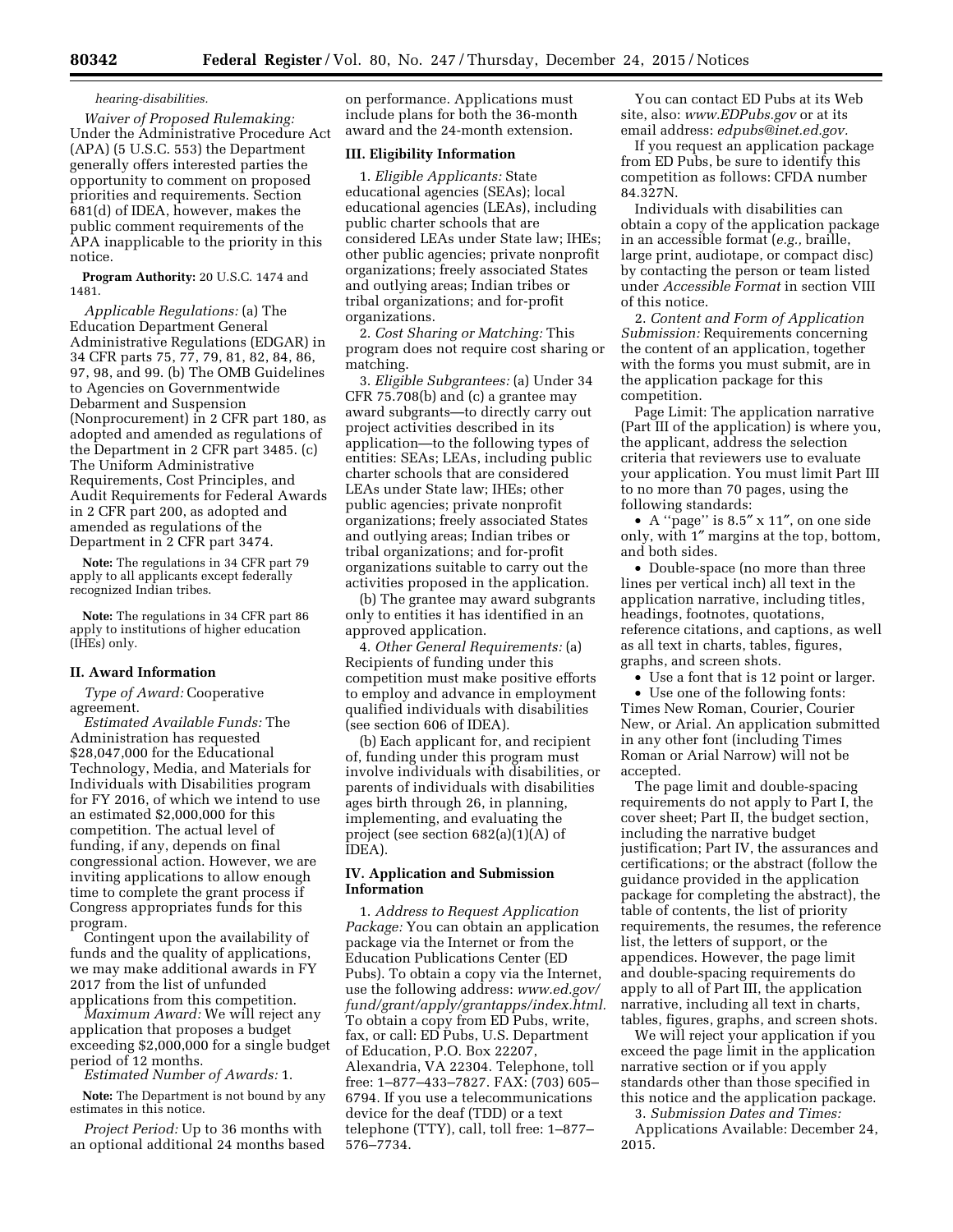### *[hearing-disabilities.](http://www.ed.gov/news/press-releases/video-demand-children%E2%80%99s-tv-programming-now-accessible-thousands-students-visual-or-hearing-disabilities)*

*Waiver of Proposed Rulemaking:*  Under the Administrative Procedure Act (APA) (5 U.S.C. 553) the Department generally offers interested parties the opportunity to comment on proposed priorities and requirements. Section 681(d) of IDEA, however, makes the public comment requirements of the APA inapplicable to the priority in this notice.

**Program Authority:** 20 U.S.C. 1474 and 1481.

*Applicable Regulations:* (a) The Education Department General Administrative Regulations (EDGAR) in 34 CFR parts 75, 77, 79, 81, 82, 84, 86, 97, 98, and 99. (b) The OMB Guidelines to Agencies on Governmentwide Debarment and Suspension (Nonprocurement) in 2 CFR part 180, as adopted and amended as regulations of the Department in 2 CFR part 3485. (c) The Uniform Administrative Requirements, Cost Principles, and Audit Requirements for Federal Awards in 2 CFR part 200, as adopted and amended as regulations of the Department in 2 CFR part 3474.

**Note:** The regulations in 34 CFR part 79 apply to all applicants except federally recognized Indian tribes.

**Note:** The regulations in 34 CFR part 86 apply to institutions of higher education (IHEs) only.

#### **II. Award Information**

*Type of Award:* Cooperative agreement.

*Estimated Available Funds:* The Administration has requested \$28,047,000 for the Educational Technology, Media, and Materials for Individuals with Disabilities program for FY 2016, of which we intend to use an estimated \$2,000,000 for this competition. The actual level of funding, if any, depends on final congressional action. However, we are inviting applications to allow enough time to complete the grant process if Congress appropriates funds for this program.

Contingent upon the availability of funds and the quality of applications, we may make additional awards in FY 2017 from the list of unfunded applications from this competition.

*Maximum Award:* We will reject any application that proposes a budget exceeding \$2,000,000 for a single budget period of 12 months.

*Estimated Number of Awards:* 1.

**Note:** The Department is not bound by any estimates in this notice.

*Project Period:* Up to 36 months with an optional additional 24 months based on performance. Applications must include plans for both the 36-month award and the 24-month extension.

### **III. Eligibility Information**

1. *Eligible Applicants:* State educational agencies (SEAs); local educational agencies (LEAs), including public charter schools that are considered LEAs under State law; IHEs; other public agencies; private nonprofit organizations; freely associated States and outlying areas; Indian tribes or tribal organizations; and for-profit organizations.

2. *Cost Sharing or Matching:* This program does not require cost sharing or matching.

3. *Eligible Subgrantees:* (a) Under 34 CFR 75.708(b) and (c) a grantee may award subgrants—to directly carry out project activities described in its application—to the following types of entities: SEAs; LEAs, including public charter schools that are considered LEAs under State law; IHEs; other public agencies; private nonprofit organizations; freely associated States and outlying areas; Indian tribes or tribal organizations; and for-profit organizations suitable to carry out the activities proposed in the application.

(b) The grantee may award subgrants only to entities it has identified in an approved application.

4. *Other General Requirements:* (a) Recipients of funding under this competition must make positive efforts to employ and advance in employment qualified individuals with disabilities (see section 606 of IDEA).

(b) Each applicant for, and recipient of, funding under this program must involve individuals with disabilities, or parents of individuals with disabilities ages birth through 26, in planning, implementing, and evaluating the project (see section 682(a)(1)(A) of IDEA).

### **IV. Application and Submission Information**

1. *Address to Request Application Package:* You can obtain an application package via the Internet or from the Education Publications Center (ED Pubs). To obtain a copy via the Internet, use the following address: *[www.ed.gov/](http://www.ed.gov/fund/grant/apply/grantapps/index.html) [fund/grant/apply/grantapps/index.html.](http://www.ed.gov/fund/grant/apply/grantapps/index.html)*  To obtain a copy from ED Pubs, write, fax, or call: ED Pubs, U.S. Department of Education, P.O. Box 22207, Alexandria, VA 22304. Telephone, toll free: 1–877–433–7827. FAX: (703) 605– 6794. If you use a telecommunications device for the deaf (TDD) or a text telephone (TTY), call, toll free: 1–877– 576–7734.

You can contact ED Pubs at its Web site, also: *[www.EDPubs.gov](http://www.EDPubs.gov)* or at its email address: *[edpubs@inet.ed.gov.](mailto:edpubs@inet.ed.gov)* 

If you request an application package from ED Pubs, be sure to identify this competition as follows: CFDA number 84.327N.

Individuals with disabilities can obtain a copy of the application package in an accessible format (*e.g.,* braille, large print, audiotape, or compact disc) by contacting the person or team listed under *Accessible Format* in section VIII of this notice.

2. *Content and Form of Application Submission:* Requirements concerning the content of an application, together with the forms you must submit, are in the application package for this competition.

Page Limit: The application narrative (Part III of the application) is where you, the applicant, address the selection criteria that reviewers use to evaluate your application. You must limit Part III to no more than 70 pages, using the following standards:

• A ''page'' is 8.5″ x 11″, on one side only, with 1″ margins at the top, bottom, and both sides.

• Double-space (no more than three lines per vertical inch) all text in the application narrative, including titles, headings, footnotes, quotations, reference citations, and captions, as well as all text in charts, tables, figures, graphs, and screen shots.

• Use a font that is 12 point or larger.

• Use one of the following fonts: Times New Roman, Courier, Courier New, or Arial. An application submitted in any other font (including Times Roman or Arial Narrow) will not be accepted.

The page limit and double-spacing requirements do not apply to Part I, the cover sheet; Part II, the budget section, including the narrative budget justification; Part IV, the assurances and certifications; or the abstract (follow the guidance provided in the application package for completing the abstract), the table of contents, the list of priority requirements, the resumes, the reference list, the letters of support, or the appendices. However, the page limit and double-spacing requirements do apply to all of Part III, the application narrative, including all text in charts, tables, figures, graphs, and screen shots.

We will reject your application if you exceed the page limit in the application narrative section or if you apply standards other than those specified in this notice and the application package.

3. *Submission Dates and Times:* 

Applications Available: December 24, 2015.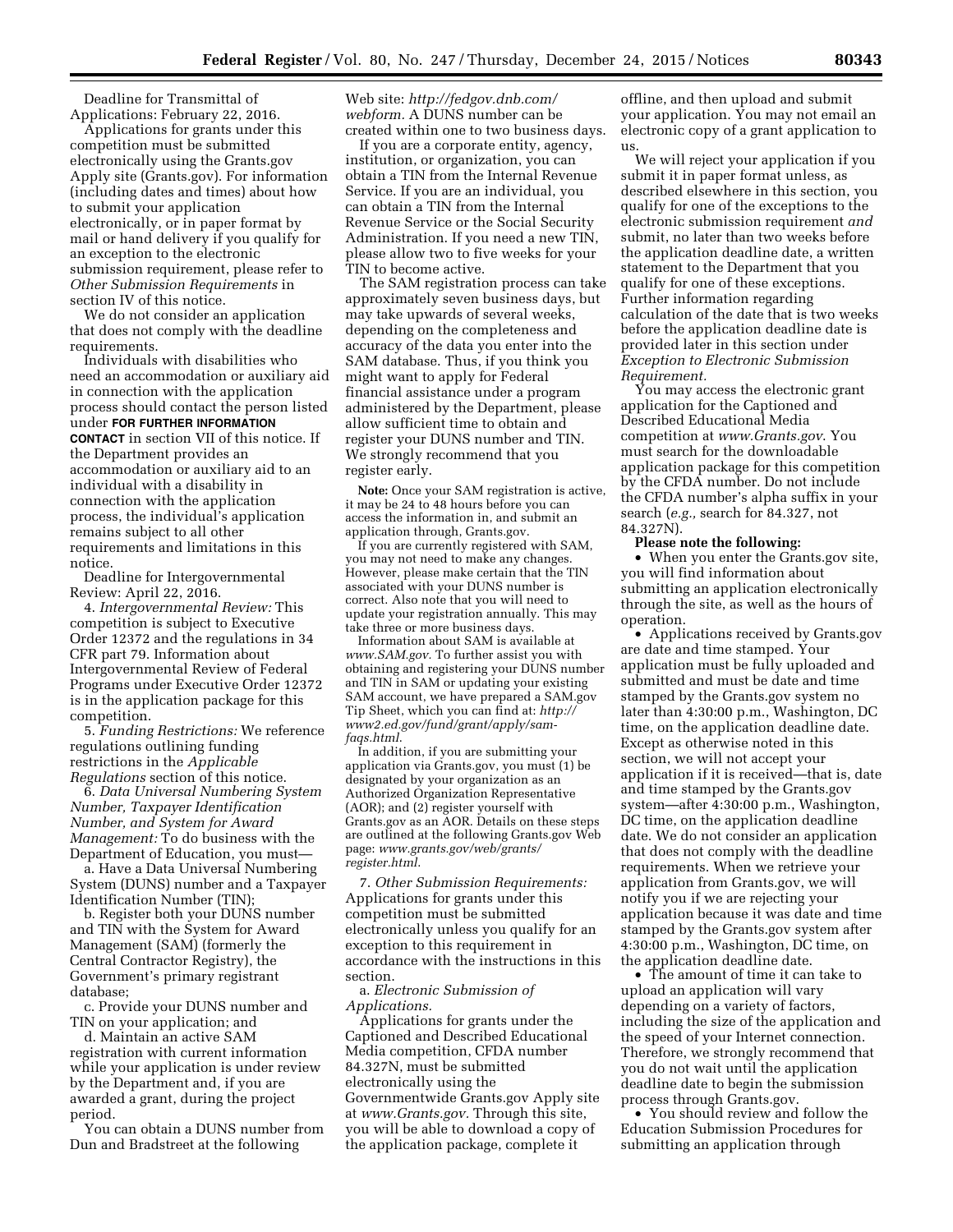Deadline for Transmittal of Applications: February 22, 2016.

Applications for grants under this competition must be submitted electronically using the Grants.gov Apply site (Grants.gov). For information (including dates and times) about how to submit your application electronically, or in paper format by mail or hand delivery if you qualify for an exception to the electronic submission requirement, please refer to *Other Submission Requirements* in section IV of this notice.

We do not consider an application that does not comply with the deadline requirements.

Individuals with disabilities who need an accommodation or auxiliary aid in connection with the application process should contact the person listed under **FOR FURTHER INFORMATION CONTACT** in section VII of this notice. If the Department provides an accommodation or auxiliary aid to an individual with a disability in connection with the application process, the individual's application remains subject to all other requirements and limitations in this notice.

Deadline for Intergovernmental Review: April 22, 2016.

4. *Intergovernmental Review:* This competition is subject to Executive Order 12372 and the regulations in 34 CFR part 79. Information about Intergovernmental Review of Federal Programs under Executive Order 12372 is in the application package for this competition.

5. *Funding Restrictions:* We reference regulations outlining funding restrictions in the *Applicable Regulations* section of this notice.

6. *Data Universal Numbering System Number, Taxpayer Identification Number, and System for Award Management:* To do business with the Department of Education, you must—

a. Have a Data Universal Numbering System (DUNS) number and a Taxpayer Identification Number (TIN);

b. Register both your DUNS number and TIN with the System for Award Management (SAM) (formerly the Central Contractor Registry), the Government's primary registrant database;

c. Provide your DUNS number and TIN on your application; and

d. Maintain an active SAM registration with current information while your application is under review by the Department and, if you are awarded a grant, during the project period.

You can obtain a DUNS number from Dun and Bradstreet at the following

Web site: *[http://fedgov.dnb.com/](http://fedgov.dnb.com/webform) [webform.](http://fedgov.dnb.com/webform)* A DUNS number can be created within one to two business days.

If you are a corporate entity, agency, institution, or organization, you can obtain a TIN from the Internal Revenue Service. If you are an individual, you can obtain a TIN from the Internal Revenue Service or the Social Security Administration. If you need a new TIN, please allow two to five weeks for your TIN to become active.

The SAM registration process can take approximately seven business days, but may take upwards of several weeks, depending on the completeness and accuracy of the data you enter into the SAM database. Thus, if you think you might want to apply for Federal financial assistance under a program administered by the Department, please allow sufficient time to obtain and register your DUNS number and TIN. We strongly recommend that you register early.

**Note:** Once your SAM registration is active, it may be 24 to 48 hours before you can access the information in, and submit an application through, Grants.gov.

If you are currently registered with SAM, you may not need to make any changes. However, please make certain that the TIN associated with your DUNS number is correct. Also note that you will need to update your registration annually. This may take three or more business days.

Information about SAM is available at *[www.SAM.gov.](http://www.SAM.gov)* To further assist you with obtaining and registering your DUNS number and TIN in SAM or updating your existing SAM account, we have prepared a SAM.gov Tip Sheet, which you can find at: *[http://](http://www2.ed.gov/fund/grant/apply/sam-faqs.html) [www2.ed.gov/fund/grant/apply/sam](http://www2.ed.gov/fund/grant/apply/sam-faqs.html)[faqs.html](http://www2.ed.gov/fund/grant/apply/sam-faqs.html)*.

In addition, if you are submitting your application via Grants.gov, you must (1) be designated by your organization as an Authorized Organization Representative (AOR); and (2) register yourself with Grants.gov as an AOR. Details on these steps are outlined at the following Grants.gov Web page: *[www.grants.gov/web/grants/](http://www.grants.gov/web/grants/register.html) [register.html](http://www.grants.gov/web/grants/register.html)*.

7. *Other Submission Requirements:*  Applications for grants under this competition must be submitted electronically unless you qualify for an exception to this requirement in accordance with the instructions in this section.

a. *Electronic Submission of Applications.* 

Applications for grants under the Captioned and Described Educational Media competition, CFDA number 84.327N, must be submitted electronically using the Governmentwide Grants.gov Apply site at *[www.Grants.gov.](http://www.Grants.gov)* Through this site, you will be able to download a copy of the application package, complete it

offline, and then upload and submit your application. You may not email an electronic copy of a grant application to us.

We will reject your application if you submit it in paper format unless, as described elsewhere in this section, you qualify for one of the exceptions to the electronic submission requirement *and*  submit, no later than two weeks before the application deadline date, a written statement to the Department that you qualify for one of these exceptions. Further information regarding calculation of the date that is two weeks before the application deadline date is provided later in this section under *Exception to Electronic Submission Requirement.* 

You may access the electronic grant application for the Captioned and Described Educational Media competition at *[www.Grants.gov](http://www.Grants.gov)*. You must search for the downloadable application package for this competition by the CFDA number. Do not include the CFDA number's alpha suffix in your search (*e.g.,* search for 84.327, not 84.327N).

#### **Please note the following:**

• When you enter the Grants.gov site, you will find information about submitting an application electronically through the site, as well as the hours of operation.

• Applications received by Grants.gov are date and time stamped. Your application must be fully uploaded and submitted and must be date and time stamped by the Grants.gov system no later than 4:30:00 p.m., Washington, DC time, on the application deadline date. Except as otherwise noted in this section, we will not accept your application if it is received—that is, date and time stamped by the Grants.gov system—after 4:30:00 p.m., Washington, DC time, on the application deadline date. We do not consider an application that does not comply with the deadline requirements. When we retrieve your application from Grants.gov, we will notify you if we are rejecting your application because it was date and time stamped by the Grants.gov system after 4:30:00 p.m., Washington, DC time, on the application deadline date.

• The amount of time it can take to upload an application will vary depending on a variety of factors, including the size of the application and the speed of your Internet connection. Therefore, we strongly recommend that you do not wait until the application deadline date to begin the submission process through Grants.gov.

• You should review and follow the Education Submission Procedures for submitting an application through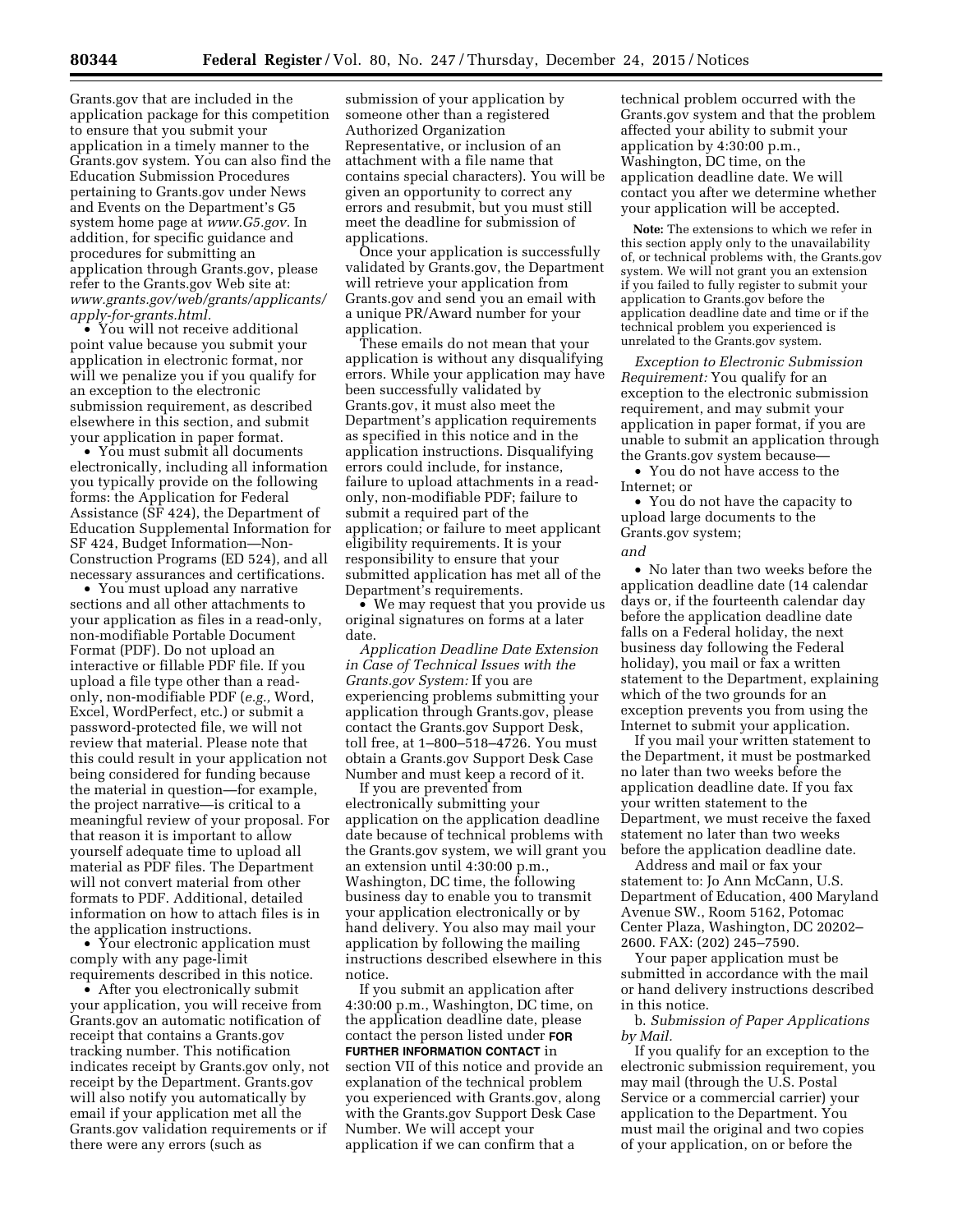Grants.gov that are included in the application package for this competition to ensure that you submit your application in a timely manner to the Grants.gov system. You can also find the Education Submission Procedures pertaining to Grants.gov under News and Events on the Department's G5 system home page at *[www.G5.gov.](http://www.G5.gov)* In addition, for specific guidance and procedures for submitting an application through Grants.gov, please refer to the Grants.gov Web site at: *[www.grants.gov/web/grants/applicants/](http://www.grants.gov/web/grants/applicants/apply-for-grants.html) [apply-for-grants.html.](http://www.grants.gov/web/grants/applicants/apply-for-grants.html)* 

• You will not receive additional point value because you submit your application in electronic format, nor will we penalize you if you qualify for an exception to the electronic submission requirement, as described elsewhere in this section, and submit your application in paper format.

• You must submit all documents electronically, including all information you typically provide on the following forms: the Application for Federal Assistance (SF 424), the Department of Education Supplemental Information for SF 424, Budget Information—Non-Construction Programs (ED 524), and all necessary assurances and certifications.

• You must upload any narrative sections and all other attachments to your application as files in a read-only, non-modifiable Portable Document Format (PDF). Do not upload an interactive or fillable PDF file. If you upload a file type other than a readonly, non-modifiable PDF (*e.g.,* Word, Excel, WordPerfect, etc.) or submit a password-protected file, we will not review that material. Please note that this could result in your application not being considered for funding because the material in question—for example, the project narrative—is critical to a meaningful review of your proposal. For that reason it is important to allow yourself adequate time to upload all material as PDF files. The Department will not convert material from other formats to PDF. Additional, detailed information on how to attach files is in the application instructions.

• Your electronic application must comply with any page-limit requirements described in this notice.

• After you electronically submit your application, you will receive from Grants.gov an automatic notification of receipt that contains a Grants.gov tracking number. This notification indicates receipt by Grants.gov only, not receipt by the Department. Grants.gov will also notify you automatically by email if your application met all the Grants.gov validation requirements or if there were any errors (such as

submission of your application by someone other than a registered Authorized Organization Representative, or inclusion of an attachment with a file name that contains special characters). You will be given an opportunity to correct any errors and resubmit, but you must still meet the deadline for submission of applications.

Once your application is successfully validated by Grants.gov, the Department will retrieve your application from Grants.gov and send you an email with a unique PR/Award number for your application.

These emails do not mean that your application is without any disqualifying errors. While your application may have been successfully validated by Grants.gov, it must also meet the Department's application requirements as specified in this notice and in the application instructions. Disqualifying errors could include, for instance, failure to upload attachments in a readonly, non-modifiable PDF; failure to submit a required part of the application; or failure to meet applicant eligibility requirements. It is your responsibility to ensure that your submitted application has met all of the Department's requirements.

• We may request that you provide us original signatures on forms at a later date.

*Application Deadline Date Extension in Case of Technical Issues with the Grants.gov System:* If you are experiencing problems submitting your application through Grants.gov, please contact the Grants.gov Support Desk, toll free, at 1–800–518–4726. You must obtain a Grants.gov Support Desk Case Number and must keep a record of it.

If you are prevented from electronically submitting your application on the application deadline date because of technical problems with the Grants.gov system, we will grant you an extension until 4:30:00 p.m., Washington, DC time, the following business day to enable you to transmit your application electronically or by hand delivery. You also may mail your application by following the mailing instructions described elsewhere in this notice.

If you submit an application after 4:30:00 p.m., Washington, DC time, on the application deadline date, please contact the person listed under **FOR FURTHER INFORMATION CONTACT** in section VII of this notice and provide an explanation of the technical problem you experienced with Grants.gov, along with the Grants.gov Support Desk Case Number. We will accept your application if we can confirm that a

technical problem occurred with the Grants.gov system and that the problem affected your ability to submit your application by 4:30:00 p.m., Washington, DC time, on the application deadline date. We will contact you after we determine whether your application will be accepted.

**Note:** The extensions to which we refer in this section apply only to the unavailability of, or technical problems with, the Grants.gov system. We will not grant you an extension if you failed to fully register to submit your application to Grants.gov before the application deadline date and time or if the technical problem you experienced is unrelated to the Grants.gov system.

*Exception to Electronic Submission Requirement:* You qualify for an exception to the electronic submission requirement, and may submit your application in paper format, if you are unable to submit an application through the Grants.gov system because—

• You do not have access to the Internet; or

• You do not have the capacity to upload large documents to the Grants.gov system;

*and* 

• No later than two weeks before the application deadline date (14 calendar days or, if the fourteenth calendar day before the application deadline date falls on a Federal holiday, the next business day following the Federal holiday), you mail or fax a written statement to the Department, explaining which of the two grounds for an exception prevents you from using the Internet to submit your application.

If you mail your written statement to the Department, it must be postmarked no later than two weeks before the application deadline date. If you fax your written statement to the Department, we must receive the faxed statement no later than two weeks before the application deadline date.

Address and mail or fax your statement to: Jo Ann McCann, U.S. Department of Education, 400 Maryland Avenue SW., Room 5162, Potomac Center Plaza, Washington, DC 20202– 2600. FAX: (202) 245–7590.

Your paper application must be submitted in accordance with the mail or hand delivery instructions described in this notice.

b. *Submission of Paper Applications by Mail.* 

If you qualify for an exception to the electronic submission requirement, you may mail (through the U.S. Postal Service or a commercial carrier) your application to the Department. You must mail the original and two copies of your application, on or before the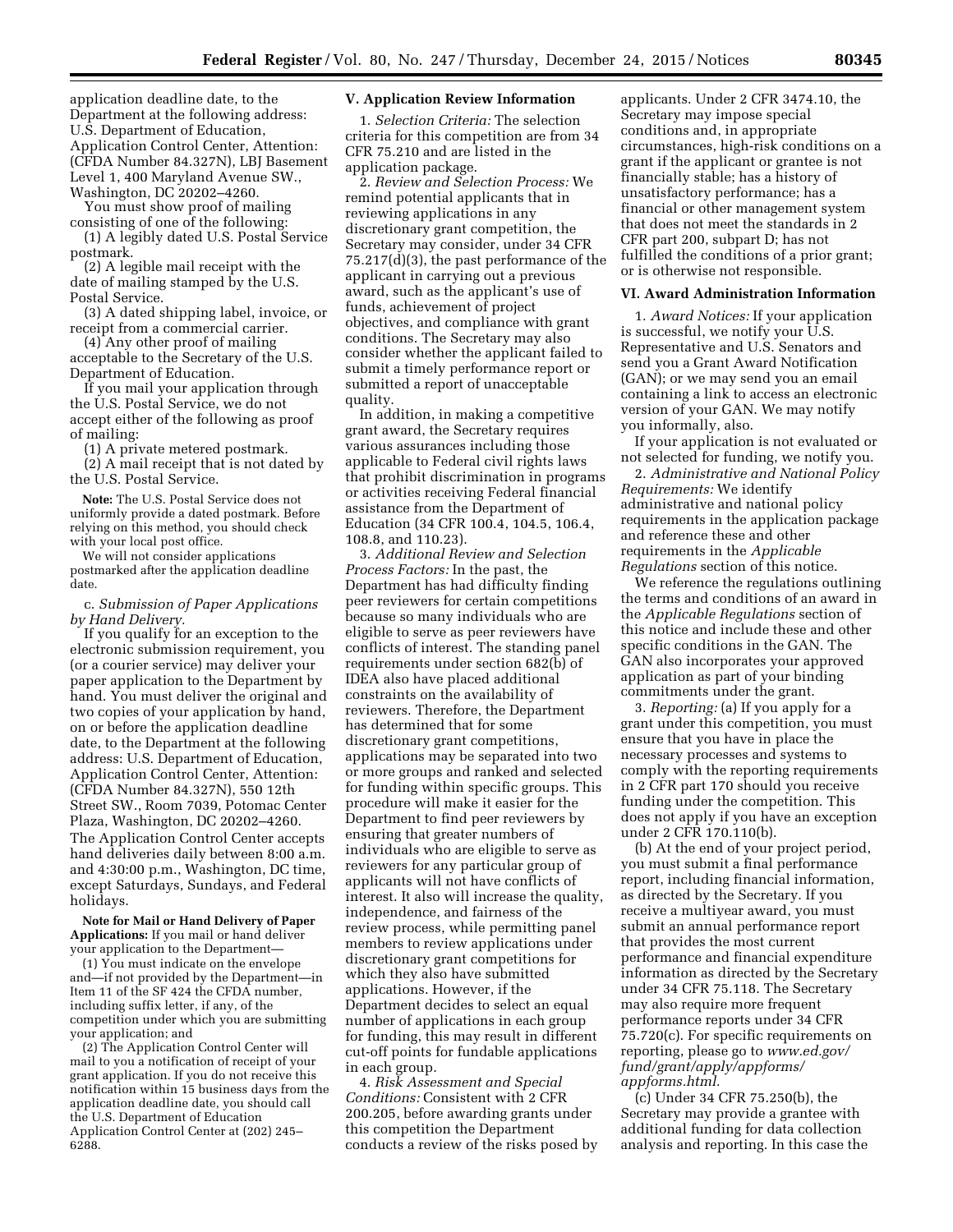application deadline date, to the Department at the following address: U.S. Department of Education, Application Control Center, Attention: (CFDA Number 84.327N), LBJ Basement Level 1, 400 Maryland Avenue SW., Washington, DC 20202–4260.

You must show proof of mailing consisting of one of the following:

(1) A legibly dated U.S. Postal Service postmark.

(2) A legible mail receipt with the date of mailing stamped by the U.S. Postal Service.

(3) A dated shipping label, invoice, or receipt from a commercial carrier.

(4) Any other proof of mailing acceptable to the Secretary of the U.S. Department of Education.

If you mail your application through the U.S. Postal Service, we do not accept either of the following as proof of mailing:

(1) A private metered postmark.

(2) A mail receipt that is not dated by the U.S. Postal Service.

**Note:** The U.S. Postal Service does not uniformly provide a dated postmark. Before relying on this method, you should check with your local post office.

We will not consider applications postmarked after the application deadline date.

c. *Submission of Paper Applications by Hand Delivery.* 

If you qualify for an exception to the electronic submission requirement, you (or a courier service) may deliver your paper application to the Department by hand. You must deliver the original and two copies of your application by hand, on or before the application deadline date, to the Department at the following address: U.S. Department of Education, Application Control Center, Attention: (CFDA Number 84.327N), 550 12th Street SW., Room 7039, Potomac Center Plaza, Washington, DC 20202–4260. The Application Control Center accepts hand deliveries daily between 8:00 a.m. and 4:30:00 p.m., Washington, DC time, except Saturdays, Sundays, and Federal holidays.

**Note for Mail or Hand Delivery of Paper Applications:** If you mail or hand deliver your application to the Department—

(1) You must indicate on the envelope and—if not provided by the Department—in Item 11 of the SF 424 the CFDA number, including suffix letter, if any, of the competition under which you are submitting your application; and

(2) The Application Control Center will mail to you a notification of receipt of your grant application. If you do not receive this notification within 15 business days from the application deadline date, you should call the U.S. Department of Education Application Control Center at (202) 245– 6288.

## **V. Application Review Information**

1. *Selection Criteria:* The selection criteria for this competition are from 34 CFR 75.210 and are listed in the application package.

2. *Review and Selection Process:* We remind potential applicants that in reviewing applications in any discretionary grant competition, the Secretary may consider, under 34 CFR 75.217(d)(3), the past performance of the applicant in carrying out a previous award, such as the applicant's use of funds, achievement of project objectives, and compliance with grant conditions. The Secretary may also consider whether the applicant failed to submit a timely performance report or submitted a report of unacceptable quality.

In addition, in making a competitive grant award, the Secretary requires various assurances including those applicable to Federal civil rights laws that prohibit discrimination in programs or activities receiving Federal financial assistance from the Department of Education (34 CFR 100.4, 104.5, 106.4, 108.8, and 110.23).

3. *Additional Review and Selection Process Factors:* In the past, the Department has had difficulty finding peer reviewers for certain competitions because so many individuals who are eligible to serve as peer reviewers have conflicts of interest. The standing panel requirements under section 682(b) of IDEA also have placed additional constraints on the availability of reviewers. Therefore, the Department has determined that for some discretionary grant competitions, applications may be separated into two or more groups and ranked and selected for funding within specific groups. This procedure will make it easier for the Department to find peer reviewers by ensuring that greater numbers of individuals who are eligible to serve as reviewers for any particular group of applicants will not have conflicts of interest. It also will increase the quality, independence, and fairness of the review process, while permitting panel members to review applications under discretionary grant competitions for which they also have submitted applications. However, if the Department decides to select an equal number of applications in each group for funding, this may result in different cut-off points for fundable applications in each group.

4. *Risk Assessment and Special Conditions:* Consistent with 2 CFR 200.205, before awarding grants under this competition the Department conducts a review of the risks posed by applicants. Under 2 CFR 3474.10, the Secretary may impose special conditions and, in appropriate circumstances, high-risk conditions on a grant if the applicant or grantee is not financially stable; has a history of unsatisfactory performance; has a financial or other management system that does not meet the standards in 2 CFR part 200, subpart D; has not fulfilled the conditions of a prior grant; or is otherwise not responsible.

#### **VI. Award Administration Information**

1. *Award Notices:* If your application is successful, we notify your U.S. Representative and U.S. Senators and send you a Grant Award Notification (GAN); or we may send you an email containing a link to access an electronic version of your GAN. We may notify you informally, also.

If your application is not evaluated or not selected for funding, we notify you.

2. *Administrative and National Policy Requirements:* We identify administrative and national policy requirements in the application package and reference these and other requirements in the *Applicable Regulations* section of this notice.

We reference the regulations outlining the terms and conditions of an award in the *Applicable Regulations* section of this notice and include these and other specific conditions in the GAN. The GAN also incorporates your approved application as part of your binding commitments under the grant.

3. *Reporting:* (a) If you apply for a grant under this competition, you must ensure that you have in place the necessary processes and systems to comply with the reporting requirements in 2 CFR part 170 should you receive funding under the competition. This does not apply if you have an exception under 2 CFR 170.110(b).

(b) At the end of your project period, you must submit a final performance report, including financial information, as directed by the Secretary. If you receive a multiyear award, you must submit an annual performance report that provides the most current performance and financial expenditure information as directed by the Secretary under 34 CFR 75.118. The Secretary may also require more frequent performance reports under 34 CFR 75.720(c). For specific requirements on reporting, please go to *[www.ed.gov/](http://www.ed.gov/fund/grant/apply/appforms/appforms.html) [fund/grant/apply/appforms/](http://www.ed.gov/fund/grant/apply/appforms/appforms.html) [appforms.html.](http://www.ed.gov/fund/grant/apply/appforms/appforms.html)* 

(c) Under 34 CFR 75.250(b), the Secretary may provide a grantee with additional funding for data collection analysis and reporting. In this case the